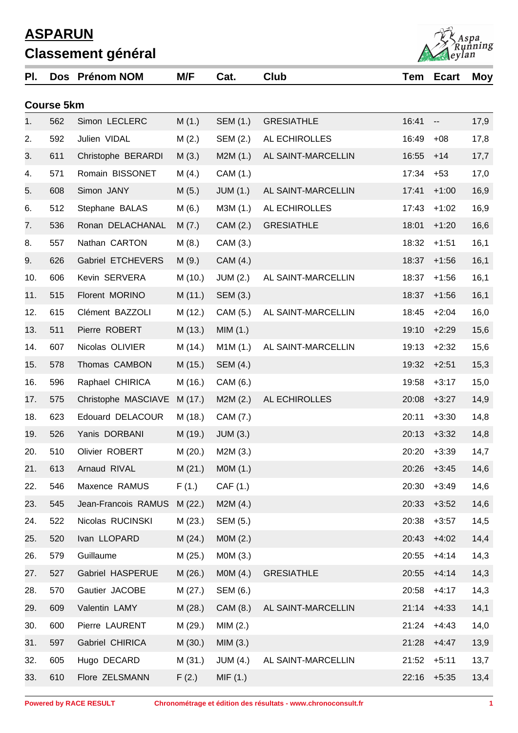| PI. |                   | Dos Prénom NOM              | M/F     | Cat.            | Club               | Tem   | <b>Ecart</b>             | Moy  |
|-----|-------------------|-----------------------------|---------|-----------------|--------------------|-------|--------------------------|------|
|     | <b>Course 5km</b> |                             |         |                 |                    |       |                          |      |
| 1.  | 562               | Simon LECLERC               | M(1.)   | SEM (1.)        | <b>GRESIATHLE</b>  | 16:41 | $\overline{\phantom{a}}$ | 17,9 |
| 2.  | 592               | Julien VIDAL                | M(2.)   | SEM (2.)        | AL ECHIROLLES      | 16:49 | $+08$                    | 17,8 |
| 3.  | 611               | Christophe BERARDI          | M(3.)   | M2M(1.)         | AL SAINT-MARCELLIN | 16:55 | $+14$                    | 17,7 |
| 4.  | 571               | Romain BISSONET             | M(4.)   | CAM (1.)        |                    | 17:34 | $+53$                    | 17,0 |
| 5.  | 608               | Simon JANY                  | M(5.)   | JUM(1.)         | AL SAINT-MARCELLIN | 17:41 | $+1:00$                  | 16,9 |
| 6.  | 512               | Stephane BALAS              | M(6.)   | M3M (1.)        | AL ECHIROLLES      | 17:43 | $+1:02$                  | 16,9 |
| 7.  | 536               | Ronan DELACHANAL            | M(7.)   | CAM (2.)        | <b>GRESIATHLE</b>  | 18:01 | $+1:20$                  | 16,6 |
| 8.  | 557               | Nathan CARTON               | M(8.)   | CAM (3.)        |                    | 18:32 | $+1:51$                  | 16,1 |
| 9.  | 626               | Gabriel ETCHEVERS           | M(9.)   | CAM (4.)        |                    | 18:37 | $+1:56$                  | 16,1 |
| 10. | 606               | Kevin SERVERA               | M (10.) | <b>JUM (2.)</b> | AL SAINT-MARCELLIN | 18:37 | $+1:56$                  | 16,1 |
| 11. | 515               | Florent MORINO              | M(11.)  | SEM (3.)        |                    | 18:37 | $+1:56$                  | 16,1 |
| 12. | 615               | Clément BAZZOLI             | M (12.) | CAM (5.)        | AL SAINT-MARCELLIN | 18:45 | $+2:04$                  | 16,0 |
| 13. | 511               | Pierre ROBERT               | M (13.) | MIM(1.)         |                    | 19:10 | $+2:29$                  | 15,6 |
| 14. | 607               | Nicolas OLIVIER             | M (14.) | M1M(1.)         | AL SAINT-MARCELLIN | 19:13 | $+2:32$                  | 15,6 |
| 15. | 578               | Thomas CAMBON               | M (15.) | SEM (4.)        |                    | 19:32 | $+2:51$                  | 15,3 |
| 16. | 596               | Raphael CHIRICA             | M (16.) | CAM (6.)        |                    | 19:58 | $+3:17$                  | 15,0 |
| 17. | 575               | Christophe MASCIAVE         | M (17.) | M2M(2.)         | AL ECHIROLLES      | 20:08 | $+3:27$                  | 14,9 |
| 18. | 623               | Edouard DELACOUR            | M (18.) | CAM (7.)        |                    | 20:11 | $+3:30$                  | 14,8 |
| 19. | 526               | Yanis DORBANI               | M (19.) | <b>JUM (3.)</b> |                    | 20:13 | $+3:32$                  | 14,8 |
| 20. | 510               | Olivier ROBERT              | M(20.)  | M2M(3.)         |                    | 20:20 | $+3:39$                  | 14,7 |
| 21. | 613               | Arnaud RIVAL                | M(21.)  | MOM(1.)         |                    | 20:26 | $+3:45$                  | 14,6 |
| 22. | 546               | Maxence RAMUS               | F(1.)   | CAF (1.)        |                    | 20:30 | $+3:49$                  | 14,6 |
| 23. | 545               | Jean-Francois RAMUS M (22.) |         | M2M(4.)         |                    | 20:33 | $+3:52$                  | 14,6 |
| 24. | 522               | Nicolas RUCINSKI            | M(23.)  | SEM (5.)        |                    | 20:38 | $+3:57$                  | 14,5 |
| 25. | 520               | Ivan LLOPARD                | M(24.)  | MOM(2.)         |                    | 20:43 | $+4:02$                  | 14,4 |
| 26. | 579               | Guillaume                   | M(25.)  | M0M (3.)        |                    | 20:55 | $+4:14$                  | 14,3 |
| 27. | 527               | Gabriel HASPERUE            | M(26.)  | MOM(4.)         | <b>GRESIATHLE</b>  | 20:55 | $+4:14$                  | 14,3 |
| 28. | 570               | Gautier JACOBE              | M (27.) | <b>SEM (6.)</b> |                    | 20:58 | $+4:17$                  | 14,3 |
| 29. | 609               | Valentin LAMY               | M(28.)  | CAM (8.)        | AL SAINT-MARCELLIN | 21:14 | $+4:33$                  | 14,1 |
| 30. | 600               | Pierre LAURENT              | M (29.) | MIM(2.)         |                    | 21:24 | $+4:43$                  | 14,0 |
| 31. | 597               | Gabriel CHIRICA             | M(30.)  | MIM(3.)         |                    | 21:28 | $+4:47$                  | 13,9 |
| 32. | 605               | Hugo DECARD                 | M (31.) | JUM(4.)         | AL SAINT-MARCELLIN | 21:52 | $+5:11$                  | 13,7 |
| 33. | 610               | Flore ZELSMANN              | F(2.)   | MIF(1.)         |                    | 22:16 | $+5:35$                  | 13,4 |
|     |                   |                             |         |                 |                    |       |                          |      |

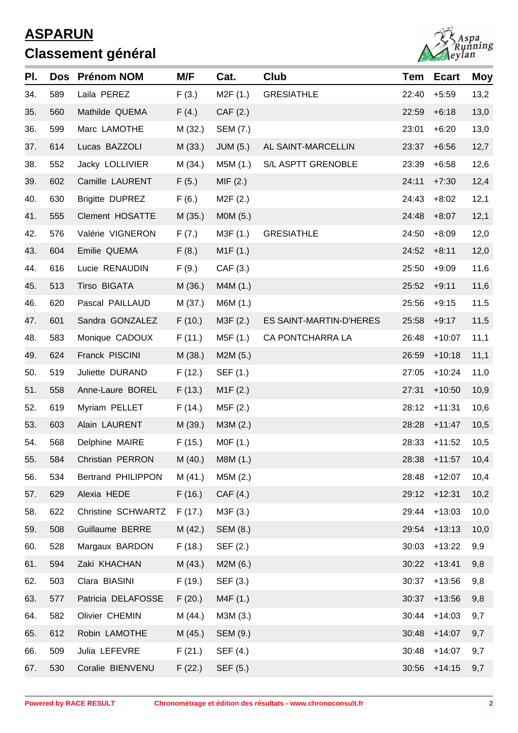

| PI. | Dos | <b>Prénom NOM</b>      | M/F     | Cat.            | Club                    | Tem   | <b>Ecart</b> | <b>Moy</b> |
|-----|-----|------------------------|---------|-----------------|-------------------------|-------|--------------|------------|
| 34. | 589 | Laila PEREZ            | F(3.)   | M2F(1.)         | <b>GRESIATHLE</b>       | 22:40 | $+5:59$      | 13,2       |
| 35. | 560 | Mathilde QUEMA         | F(4.)   | CAF(2.)         |                         | 22:59 | $+6:18$      | 13,0       |
| 36. | 599 | Marc LAMOTHE           | M (32.) | SEM (7.)        |                         | 23:01 | $+6:20$      | 13,0       |
| 37. | 614 | Lucas BAZZOLI          | M(33.)  | <b>JUM (5.)</b> | AL SAINT-MARCELLIN      | 23:37 | $+6:56$      | 12,7       |
| 38. | 552 | Jacky LOLLIVIER        | M (34.) | M5M (1.)        | S/L ASPTT GRENOBLE      | 23:39 | $+6:58$      | 12,6       |
| 39. | 602 | Camille LAURENT        | F(5.)   | MIF(2.)         |                         | 24:11 | $+7:30$      | 12,4       |
| 40. | 630 | <b>Brigitte DUPREZ</b> | F(6.)   | M2F (2.)        |                         | 24:43 | $+8:02$      | 12,1       |
| 41. | 555 | <b>Clement HOSATTE</b> | M(35.)  | M0M (5.)        |                         | 24:48 | $+8:07$      | 12,1       |
| 42. | 576 | Valérie VIGNERON       | F(7.)   | M3F (1.)        | <b>GRESIATHLE</b>       | 24:50 | $+8:09$      | 12,0       |
| 43. | 604 | Emilie QUEMA           | F(8.)   | M1F (1.)        |                         | 24:52 | $+8:11$      | 12,0       |
| 44. | 616 | Lucie RENAUDIN         | F(9.)   | CAF(3.)         |                         | 25:50 | $+9:09$      | 11,6       |
| 45. | 513 | Tirso BIGATA           | M (36.) | M4M (1.)        |                         | 25:52 | $+9:11$      | 11,6       |
| 46. | 620 | Pascal PAILLAUD        | M(37.)  | M6M (1.)        |                         | 25:56 | $+9:15$      | 11,5       |
| 47. | 601 | Sandra GONZALEZ        | F(10.)  | M3F (2.)        | ES SAINT-MARTIN-D'HERES | 25:58 | $+9:17$      | 11,5       |
| 48. | 583 | Monique CADOUX         | F(11.)  | M5F (1.)        | CA PONTCHARRA LA        | 26:48 | $+10:07$     | 11,1       |
| 49. | 624 | Franck PISCINI         | M(38.)  | M2M (5.)        |                         | 26:59 | $+10:18$     | 11,1       |
| 50. | 519 | Juliette DURAND        | F(12.)  | SEF (1.)        |                         | 27:05 | $+10:24$     | 11,0       |
| 51. | 558 | Anne-Laure BOREL       | F(13.)  | M1F(2.)         |                         | 27:31 | $+10:50$     | 10,9       |
| 52. | 619 | Myriam PELLET          | F(14.)  | M5F (2.)        |                         | 28:12 | $+11:31$     | 10,6       |
| 53. | 603 | Alain LAURENT          | M (39.) | M3M (2.)        |                         | 28:28 | $+11:47$     | 10,5       |
| 54. | 568 | Delphine MAIRE         | F(15.)  | M0F (1.)        |                         | 28:33 | $+11:52$     | 10,5       |
| 55. | 584 | Christian PERRON       | M (40.) | M8M (1.)        |                         |       | 28:38 +11:57 | 10,4       |
| 56. | 534 | Bertrand PHILIPPON     | M(41.)  | M5M (2.)        |                         | 28:48 | $+12:07$     | 10,4       |
| 57. | 629 | Alexia HEDE            | F(16.)  | CAF(4.)         |                         | 29:12 | $+12:31$     | 10,2       |
| 58. | 622 | Christine SCHWARTZ     | F(17.)  | M3F (3.)        |                         | 29:44 | $+13:03$     | 10,0       |
| 59. | 508 | Guillaume BERRE        | M(42.)  | SEM (8.)        |                         | 29:54 | $+13:13$     | 10,0       |
| 60. | 528 | Margaux BARDON         | F(18.)  | SEF (2.)        |                         | 30:03 | $+13:22$     | 9,9        |
| 61. | 594 | Zaki KHACHAN           | M(43.)  | M2M (6.)        |                         | 30:22 | $+13:41$     | 9,8        |
| 62. | 503 | Clara BIASINI          | F(19.)  | SEF (3.)        |                         | 30:37 | $+13:56$     | 9,8        |
| 63. | 577 | Patricia DELAFOSSE     | F(20.)  | M4F (1.)        |                         | 30:37 | $+13:56$     | 9,8        |
| 64. | 582 | Olivier CHEMIN         | M (44.) | M3M (3.)        |                         | 30:44 | $+14:03$     | 9,7        |
| 65. | 612 | Robin LAMOTHE          | M (45.) | SEM (9.)        |                         | 30:48 | $+14:07$     | 9,7        |
| 66. | 509 | Julia LEFEVRE          | F(21.)  | SEF (4.)        |                         | 30:48 | $+14:07$     | 9,7        |
| 67. | 530 | Coralie BIENVENU       | F(22.)  | SEF (5.)        |                         | 30:56 | $+14:15$     | 9,7        |
|     |     |                        |         |                 |                         |       |              |            |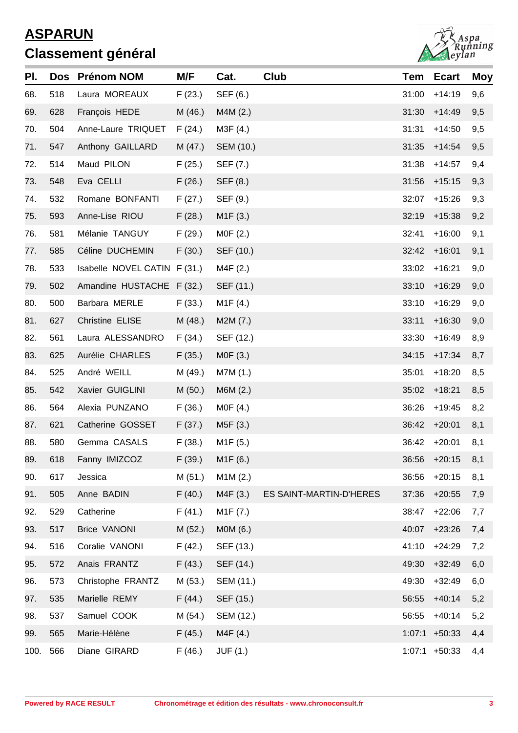

| PI.  |     | Dos Prénom NOM               | M/F     | Cat.                  | Club                    |        | <b>Tem Ecart</b> | <b>Moy</b> |
|------|-----|------------------------------|---------|-----------------------|-------------------------|--------|------------------|------------|
| 68.  | 518 | Laura MOREAUX                | F(23.)  | SEF (6.)              |                         | 31:00  | $+14:19$         | 9,6        |
| 69.  | 628 | François HEDE                | M (46.) | M4M (2.)              |                         | 31:30  | $+14:49$         | 9,5        |
| 70.  | 504 | Anne-Laure TRIQUET           | F(24.)  | M3F (4.)              |                         | 31:31  | $+14:50$         | 9,5        |
| 71.  | 547 | Anthony GAILLARD             | M(47.)  | SEM (10.)             |                         | 31:35  | $+14:54$         | 9,5        |
| 72.  | 514 | Maud PILON                   | F(25.)  | SEF (7.)              |                         | 31:38  | $+14:57$         | 9,4        |
| 73.  | 548 | Eva CELLI                    | F(26.)  | SEF (8.)              |                         | 31:56  | $+15:15$         | 9,3        |
| 74.  | 532 | Romane BONFANTI              | F(27.)  | SEF (9.)              |                         | 32:07  | $+15:26$         | 9,3        |
| 75.  | 593 | Anne-Lise RIOU               | F(28.)  | M1F(3.)               |                         | 32:19  | $+15:38$         | 9,2        |
| 76.  | 581 | Mélanie TANGUY               | F(29.)  | MOF(2.)               |                         | 32:41  | $+16:00$         | 9,1        |
| 77.  | 585 | Céline DUCHEMIN              | F(30.)  | SEF (10.)             |                         | 32:42  | $+16:01$         | 9,1        |
| 78.  | 533 | Isabelle NOVEL CATIN F (31.) |         | M4F (2.)              |                         | 33:02  | $+16:21$         | 9,0        |
| 79.  | 502 | Amandine HUSTACHE F (32.)    |         | SEF (11.)             |                         | 33:10  | $+16:29$         | 9,0        |
| 80.  | 500 | Barbara MERLE                | F(33.)  | M <sub>1</sub> F (4.) |                         | 33:10  | $+16:29$         | 9,0        |
| 81.  | 627 | Christine ELISE              | M(48.)  | M2M(7.)               |                         | 33:11  | $+16:30$         | 9,0        |
| 82.  | 561 | Laura ALESSANDRO             | F(34.)  | SEF (12.)             |                         | 33:30  | $+16:49$         | 8,9        |
| 83.  | 625 | Aurélie CHARLES              | F(35.)  | MOF(3.)               |                         | 34:15  | $+17:34$         | 8,7        |
| 84.  | 525 | André WEILL                  | M (49.) | M7M (1.)              |                         | 35:01  | $+18:20$         | 8,5        |
| 85.  | 542 | Xavier GUIGLINI              | M(50.)  | M6M(2.)               |                         | 35:02  | $+18:21$         | 8,5        |
| 86.  | 564 | Alexia PUNZANO               | F(36.)  | MOF(4.)               |                         | 36:26  | $+19:45$         | 8,2        |
| 87.  | 621 | Catherine GOSSET             | F(37.)  | M5F (3.)              |                         | 36:42  | $+20:01$         | 8,1        |
| 88.  | 580 | Gemma CASALS                 | F(38.)  | M <sub>1</sub> F (5.) |                         |        | 36:42 +20:01     | 8,1        |
| 89.  | 618 | Fanny IMIZCOZ                |         | $F(39.)$ M1F $(6.)$   |                         |        | 36:56 +20:15     | 8,1        |
| 90.  | 617 | Jessica                      | M(51.)  | M1M(2.)               |                         | 36:56  | $+20:15$         | 8,1        |
| 91.  | 505 | Anne BADIN                   | F(40.)  | M4F(3.)               | ES SAINT-MARTIN-D'HERES | 37:36  | $+20:55$         | 7,9        |
| 92.  | 529 | Catherine                    | F(41.)  | M <sub>1</sub> F (7.) |                         | 38:47  | $+22:06$         | 7,7        |
| 93.  | 517 | <b>Brice VANONI</b>          | M(52.)  | MOM(6.)               |                         | 40:07  | $+23:26$         | 7,4        |
| 94.  | 516 | Coralie VANONI               | F(42.)  | SEF (13.)             |                         | 41:10  | $+24:29$         | 7,2        |
| 95.  | 572 | Anais FRANTZ                 | F(43.)  | SEF (14.)             |                         | 49:30  | $+32:49$         | 6,0        |
| 96.  | 573 | Christophe FRANTZ            | M (53.) | SEM (11.)             |                         | 49:30  | $+32:49$         | 6,0        |
| 97.  | 535 | Marielle REMY                | F(44.)  | SEF (15.)             |                         | 56:55  | $+40:14$         | 5,2        |
| 98.  | 537 | Samuel COOK                  | M (54.) | SEM (12.)             |                         | 56:55  | $+40:14$         | 5,2        |
| 99.  | 565 | Marie-Hélène                 | F(45.)  | M4F (4.)              |                         | 1:07:1 | $+50:33$         | 4,4        |
| 100. | 566 | Diane GIRARD                 | F(46.)  | JUF (1.)              |                         | 1:07:1 | $+50:33$         | 4,4        |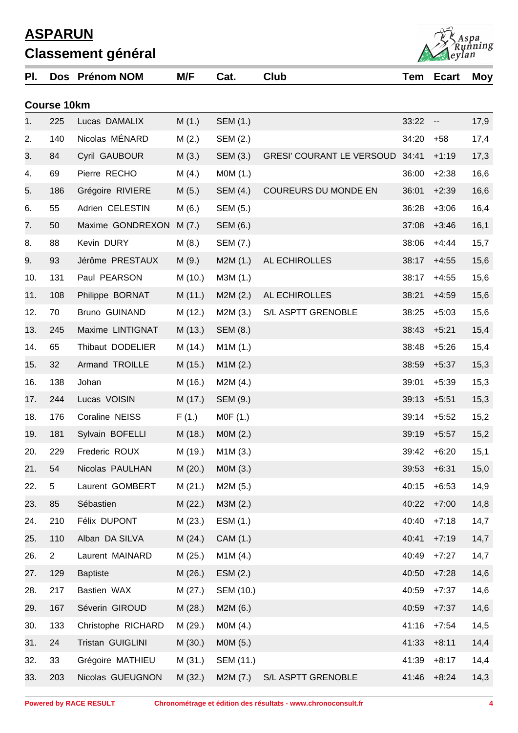| PI. |                    | Dos Prénom NOM     | M/F     | Cat.      | <b>Club</b>                     | Tem   | <b>Ecart</b>             | Moy  |
|-----|--------------------|--------------------|---------|-----------|---------------------------------|-------|--------------------------|------|
|     | <b>Course 10km</b> |                    |         |           |                                 |       |                          |      |
| 1.  | 225                | Lucas DAMALIX      | M(1.)   | SEM (1.)  |                                 | 33:22 | $\overline{\phantom{a}}$ | 17,9 |
| 2.  | 140                | Nicolas MÉNARD     | M(2.)   | SEM (2.)  |                                 | 34:20 | $+58$                    | 17,4 |
| 3.  | 84                 | Cyril GAUBOUR      | M(3.)   | SEM (3.)  | GRESI' COURANT LE VERSOUD 34:41 |       | $+1:19$                  | 17,3 |
| 4.  | 69                 | Pierre RECHO       | M(4.)   | M0M (1.)  |                                 | 36:00 | $+2:38$                  | 16,6 |
| 5.  | 186                | Grégoire RIVIERE   | M(5.)   | SEM (4.)  | COUREURS DU MONDE EN            | 36:01 | $+2:39$                  | 16,6 |
| 6.  | 55                 | Adrien CELESTIN    | M(6.)   | SEM (5.)  |                                 | 36:28 | $+3:06$                  | 16,4 |
| 7.  | 50                 | Maxime GONDREXON   | M(7.)   | SEM (6.)  |                                 | 37:08 | $+3:46$                  | 16,1 |
| 8.  | 88                 | Kevin DURY         | M(8.)   | SEM (7.)  |                                 | 38:06 | $+4:44$                  | 15,7 |
| 9.  | 93                 | Jérôme PRESTAUX    | M(9.)   | M2M(1.)   | AL ECHIROLLES                   | 38:17 | $+4:55$                  | 15,6 |
| 10. | 131                | Paul PEARSON       | M (10.) | M3M (1.)  |                                 | 38:17 | $+4:55$                  | 15,6 |
| 11. | 108                | Philippe BORNAT    | M (11.) | M2M(2.)   | AL ECHIROLLES                   | 38:21 | $+4:59$                  | 15,6 |
| 12. | 70                 | Bruno GUINAND      | M (12.) | M2M (3.)  | S/L ASPTT GRENOBLE              | 38:25 | $+5:03$                  | 15,6 |
| 13. | 245                | Maxime LINTIGNAT   | M (13.) | SEM (8.)  |                                 | 38:43 | $+5:21$                  | 15,4 |
| 14. | 65                 | Thibaut DODELIER   | M (14.) | M1M (1.)  |                                 | 38:48 | $+5:26$                  | 15,4 |
| 15. | 32                 | Armand TROILLE     | M (15.) | M1M(2.)   |                                 | 38:59 | $+5:37$                  | 15,3 |
| 16. | 138                | Johan              | M (16.) | M2M(4.)   |                                 | 39:01 | $+5:39$                  | 15,3 |
| 17. | 244                | Lucas VOISIN       | M (17.) | SEM (9.)  |                                 | 39:13 | $+5:51$                  | 15,3 |
| 18. | 176                | Coraline NEISS     | F(1.)   | MOF(1.)   |                                 | 39:14 | $+5:52$                  | 15,2 |
| 19. | 181                | Sylvain BOFELLI    | M (18.) | MOM(2.)   |                                 | 39:19 | $+5:57$                  | 15,2 |
| 20. | 229                | Frederic ROUX      | M (19.) | M1M (3.)  |                                 | 39:42 | $+6:20$                  | 15,1 |
| 21. | 54                 | Nicolas PAULHAN    | M(20.)  | MOM(3.)   |                                 | 39:53 | $+6:31$                  | 15,0 |
| 22. | 5                  | Laurent GOMBERT    | M(21.)  | M2M (5.)  |                                 | 40:15 | $+6:53$                  | 14,9 |
| 23. | 85                 | Sébastien          | M(22.)  | M3M (2.)  |                                 | 40:22 | $+7:00$                  | 14,8 |
| 24. | 210                | Félix DUPONT       | M(23.)  | ESM (1.)  |                                 | 40:40 | $+7:18$                  | 14,7 |
| 25. | 110                | Alban DA SILVA     | M(24.)  | CAM (1.)  |                                 | 40:41 | $+7:19$                  | 14,7 |
| 26. | $\overline{2}$     | Laurent MAINARD    | M(25.)  | M1M (4.)  |                                 | 40:49 | $+7:27$                  | 14,7 |
| 27. | 129                | <b>Baptiste</b>    | M(26.)  | ESM(2.)   |                                 | 40:50 | $+7:28$                  | 14,6 |
| 28. | 217                | Bastien WAX        | M(27.)  | SEM (10.) |                                 | 40:59 | $+7:37$                  | 14,6 |
| 29. | 167                | Séverin GIROUD     | M(28.)  | M2M (6.)  |                                 | 40:59 | $+7:37$                  | 14,6 |
| 30. | 133                | Christophe RICHARD | M (29.) | MOM(4.)   |                                 | 41:16 | $+7:54$                  | 14,5 |
| 31. | 24                 | Tristan GUIGLINI   | M(30.)  | M0M (5.)  |                                 | 41:33 | $+8:11$                  | 14,4 |
| 32. | 33                 | Grégoire MATHIEU   | M(31.)  | SEM (11.) |                                 | 41:39 | $+8:17$                  | 14,4 |
| 33. | 203                | Nicolas GUEUGNON   | M(32.)  | M2M (7.)  | S/L ASPTT GRENOBLE              | 41:46 | $+8:24$                  | 14,3 |

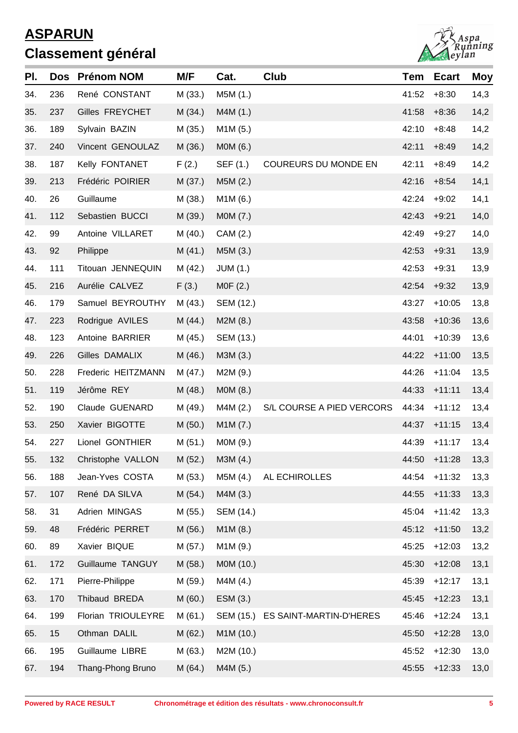

| PI. | <b>Dos</b> | <b>Prénom NOM</b>  | M/F     | Cat.            | Club                              | <b>Tem</b> | <b>Ecart</b> | <b>Moy</b> |
|-----|------------|--------------------|---------|-----------------|-----------------------------------|------------|--------------|------------|
| 34. | 236        | René CONSTANT      | M(33.)  | M5M (1.)        |                                   | 41:52      | $+8:30$      | 14,3       |
| 35. | 237        | Gilles FREYCHET    | M(34.)  | M4M (1.)        |                                   | 41:58      | $+8:36$      | 14,2       |
| 36. | 189        | Sylvain BAZIN      | M(35.)  | M1M (5.)        |                                   | 42:10      | $+8:48$      | 14,2       |
| 37. | 240        | Vincent GENOULAZ   | M (36.) | M0M (6.)        |                                   | 42:11      | $+8:49$      | 14,2       |
| 38. | 187        | Kelly FONTANET     | F(2.)   | SEF (1.)        | <b>COUREURS DU MONDE EN</b>       | 42:11      | $+8:49$      | 14,2       |
| 39. | 213        | Frédéric POIRIER   | M(37.)  | M5M (2.)        |                                   | 42:16      | $+8:54$      | 14,1       |
| 40. | 26         | Guillaume          | M (38.) | M1M (6.)        |                                   | 42:24      | $+9:02$      | 14,1       |
| 41. | 112        | Sebastien BUCCI    | M (39.) | MOM (7.)        |                                   | 42:43      | $+9:21$      | 14,0       |
| 42. | 99         | Antoine VILLARET   | M(40.)  | CAM (2.)        |                                   | 42:49      | $+9:27$      | 14,0       |
| 43. | 92         | Philippe           | M(41.)  | M5M (3.)        |                                   | 42:53      | $+9:31$      | 13,9       |
| 44. | 111        | Titouan JENNEQUIN  | M(42.)  | <b>JUM (1.)</b> |                                   | 42:53      | $+9:31$      | 13,9       |
| 45. | 216        | Aurélie CALVEZ     | F(3.)   | MOF(2.)         |                                   | 42:54      | $+9:32$      | 13,9       |
| 46. | 179        | Samuel BEYROUTHY   | M (43.) | SEM (12.)       |                                   | 43:27      | $+10:05$     | 13,8       |
| 47. | 223        | Rodrigue AVILES    | M(44.)  | M2M(8.)         |                                   | 43:58      | $+10:36$     | 13,6       |
| 48. | 123        | Antoine BARRIER    | M (45.) | SEM (13.)       |                                   | 44:01      | $+10:39$     | 13,6       |
| 49. | 226        | Gilles DAMALIX     | M (46.) | M3M (3.)        |                                   | 44:22      | $+11:00$     | 13,5       |
| 50. | 228        | Frederic HEITZMANN | M (47.) | M2M (9.)        |                                   | 44:26      | $+11:04$     | 13,5       |
| 51. | 119        | Jérôme REY         | M(48.)  | M0M (8.)        |                                   | 44:33      | $+11:11$     | 13,4       |
| 52. | 190        | Claude GUENARD     | M (49.) | M4M (2.)        | S/L COURSE A PIED VERCORS         | 44:34      | $+11:12$     | 13,4       |
| 53. | 250        | Xavier BIGOTTE     | M(50.)  | M1M (7.)        |                                   | 44:37      | $+11:15$     | 13,4       |
| 54. | 227        | Lionel GONTHIER    | M(51.)  | MOM (9.)        |                                   | 44:39      | $+11:17$     | 13,4       |
| 55. | 132        | Christophe VALLON  | M (52.) | M3M (4.)        |                                   |            | 44:50 +11:28 | 13,3       |
| 56. | 188        | Jean-Yves COSTA    | M (53.) | M5M (4.)        | AL ECHIROLLES                     | 44:54      | $+11:32$     | 13,3       |
| 57. | 107        | René DA SILVA      | M(54.)  | M4M (3.)        |                                   | 44:55      | $+11:33$     | 13,3       |
| 58. | 31         | Adrien MINGAS      | M (55.) | SEM (14.)       |                                   | 45:04      | $+11:42$     | 13,3       |
| 59. | 48         | Frédéric PERRET    | M(56.)  | M1M(8.)         |                                   | 45:12      | $+11:50$     | 13,2       |
| 60. | 89         | Xavier BIQUE       | M (57.) | M1M (9.)        |                                   | 45:25      | $+12:03$     | 13,2       |
| 61. | 172        | Guillaume TANGUY   | M (58.) | M0M (10.)       |                                   | 45:30      | $+12:08$     | 13,1       |
| 62. | 171        | Pierre-Philippe    | M (59.) | M4M (4.)        |                                   | 45:39      | $+12:17$     | 13,1       |
| 63. | 170        | Thibaud BREDA      | M(60.)  | ESM(3.)         |                                   | 45:45      | $+12:23$     | 13,1       |
| 64. | 199        | Florian TRIOULEYRE | M(61.)  |                 | SEM (15.) ES SAINT-MARTIN-D'HERES | 45:46      | $+12:24$     | 13,1       |
| 65. | 15         | Othman DALIL       | M(62.)  | M1M (10.)       |                                   | 45:50      | $+12:28$     | 13,0       |
| 66. | 195        | Guillaume LIBRE    | M(63.)  | M2M (10.)       |                                   | 45:52      | $+12:30$     | 13,0       |
| 67. | 194        | Thang-Phong Bruno  | M(64.)  | M4M (5.)        |                                   | 45:55      | $+12:33$     | 13,0       |
|     |            |                    |         |                 |                                   |            |              |            |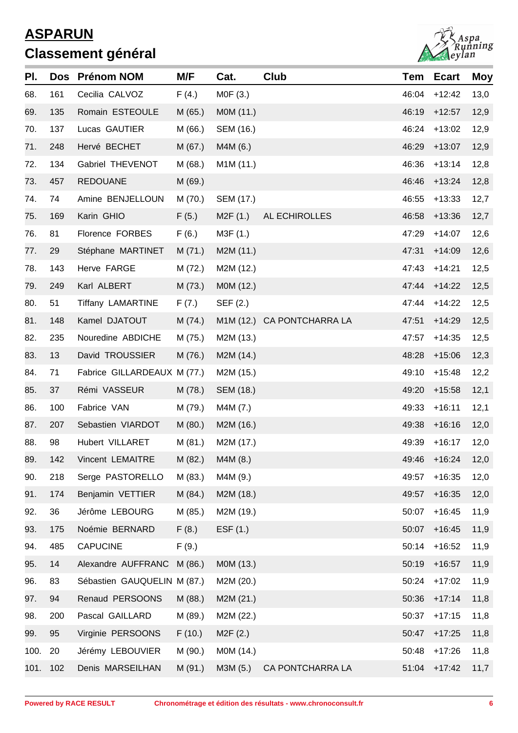

| PI.  |          | Dos Prénom NOM              | M/F     | Cat.                   | Club                       | Tem   | <b>Ecart</b> | <b>Moy</b> |
|------|----------|-----------------------------|---------|------------------------|----------------------------|-------|--------------|------------|
| 68.  | 161      | Cecilia CALVOZ              | F(4.)   | MOF(3.)                |                            | 46:04 | $+12:42$     | 13,0       |
| 69.  | 135      | Romain ESTEOULE             | M(65.)  | MOM (11.)              |                            | 46:19 | $+12:57$     | 12,9       |
| 70.  | 137      | Lucas GAUTIER               | M(66.)  | SEM (16.)              |                            | 46:24 | $+13:02$     | 12,9       |
| 71.  | 248      | Hervé BECHET                | M(67.)  | M4M (6.)               |                            | 46:29 | $+13:07$     | 12,9       |
| 72.  | 134      | Gabriel THEVENOT            | M(68.)  | M <sub>1</sub> M (11.) |                            | 46:36 | $+13:14$     | 12,8       |
| 73.  | 457      | <b>REDOUANE</b>             | M (69.) |                        |                            | 46:46 | $+13:24$     | 12,8       |
| 74.  | 74       | Amine BENJELLOUN            | M (70.) | SEM (17.)              |                            | 46:55 | $+13:33$     | 12,7       |
| 75.  | 169      | Karin GHIO                  | F(5.)   | M2F(1.)                | AL ECHIROLLES              | 46:58 | $+13:36$     | 12,7       |
| 76.  | 81       | Florence FORBES             | F(6.)   | M3F (1.)               |                            | 47:29 | $+14:07$     | 12,6       |
| 77.  | 29       | Stéphane MARTINET           | M(71.)  | M2M (11.)              |                            | 47:31 | $+14:09$     | 12,6       |
| 78.  | 143      | Herve FARGE                 | M (72.) | M2M (12.)              |                            | 47:43 | $+14:21$     | 12,5       |
| 79.  | 249      | Karl ALBERT                 | M(73.)  | M0M (12.)              |                            | 47:44 | $+14:22$     | 12,5       |
| 80.  | 51       | <b>Tiffany LAMARTINE</b>    | F (7.)  | SEF (2.)               |                            | 47:44 | $+14:22$     | 12,5       |
| 81.  | 148      | Kamel DJATOUT               | M(74.)  |                        | M1M (12.) CA PONTCHARRA LA | 47:51 | $+14:29$     | 12,5       |
| 82.  | 235      | Nouredine ABDICHE           | M (75.) | M2M (13.)              |                            | 47:57 | $+14:35$     | 12,5       |
| 83.  | 13       | David TROUSSIER             | M (76.) | M2M (14.)              |                            | 48:28 | $+15:06$     | 12,3       |
| 84.  | 71       | Fabrice GILLARDEAUX M (77.) |         | M2M (15.)              |                            | 49:10 | $+15:48$     | 12,2       |
| 85.  | 37       | Rémi VASSEUR                | M (78.) | SEM (18.)              |                            | 49:20 | $+15:58$     | 12,1       |
| 86.  | 100      | Fabrice VAN                 | M (79.) | M4M (7.)               |                            | 49:33 | $+16:11$     | 12,1       |
| 87.  | 207      | Sebastien VIARDOT           | M(80.)  | M2M (16.)              |                            | 49:38 | $+16:16$     | 12,0       |
| 88.  | 98       | Hubert VILLARET             | M (81.) | M2M (17.)              |                            | 49:39 | $+16:17$     | 12,0       |
| 89.  | 142      | Vincent LEMAITRE            | M (82.) | M4M (8.)               |                            |       | 49:46 +16:24 | 12,0       |
| 90.  | 218      | Serge PASTORELLO            | M (83.) | M4M (9.)               |                            | 49:57 | $+16:35$     | 12,0       |
| 91.  | 174      | Benjamin VETTIER            | M(84.)  | M2M (18.)              |                            | 49:57 | $+16:35$     | 12,0       |
| 92.  | 36       | Jérôme LEBOURG              | M (85.) | M2M (19.)              |                            | 50:07 | $+16:45$     | 11,9       |
| 93.  | 175      | Noémie BERNARD              | F(8.)   | EST(1.)                |                            | 50:07 | $+16:45$     | 11,9       |
| 94.  | 485      | <b>CAPUCINE</b>             | F(9.)   |                        |                            | 50:14 | $+16:52$     | 11,9       |
| 95.  | 14       | Alexandre AUFFRANC M (86.)  |         | M0M (13.)              |                            | 50:19 | $+16:57$     | 11,9       |
| 96.  | 83       | Sébastien GAUQUELIN M (87.) |         | M2M (20.)              |                            | 50:24 | $+17:02$     | 11,9       |
| 97.  | 94       | Renaud PERSOONS             | M (88.) | M2M (21.)              |                            | 50:36 | $+17:14$     | 11,8       |
| 98.  | 200      | Pascal GAILLARD             | M (89.) | M2M (22.)              |                            | 50:37 | $+17:15$     | 11,8       |
| 99.  | 95       | Virginie PERSOONS           | F(10.)  | M <sub>2</sub> F (2.)  |                            | 50:47 | $+17:25$     | 11,8       |
| 100. | 20       | Jérémy LEBOUVIER            | M (90.) | M0M (14.)              |                            | 50:48 | $+17:26$     | 11,8       |
|      | 101. 102 | Denis MARSEILHAN            | M (91.) | M3M (5.)               | CA PONTCHARRA LA           | 51:04 | $+17:42$     | 11,7       |
|      |          |                             |         |                        |                            |       |              |            |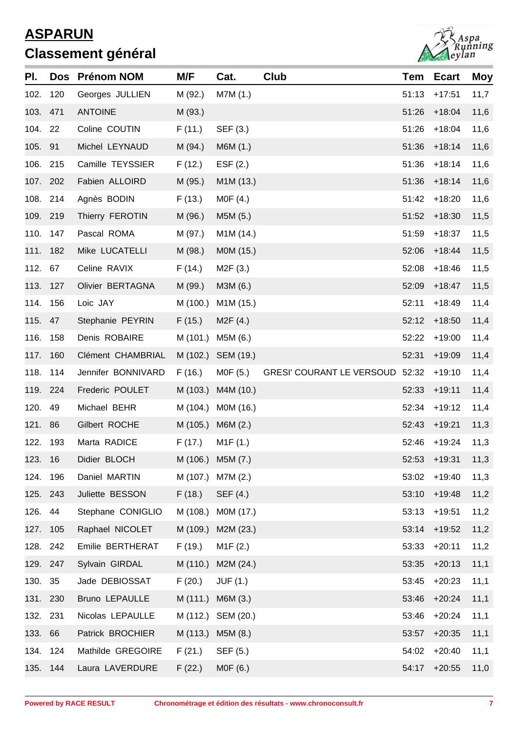

| PI.      |          | Dos Prénom NOM        | M/F      | Cat.                   | Club                            | Tem   | <b>Ecart</b> | <b>Moy</b> |
|----------|----------|-----------------------|----------|------------------------|---------------------------------|-------|--------------|------------|
| 102.     | 120      | Georges JULLIEN       | M (92.)  | M7M (1.)               |                                 | 51:13 | $+17:51$     | 11,7       |
| 103. 471 |          | <b>ANTOINE</b>        | M (93.)  |                        |                                 | 51:26 | $+18:04$     | 11,6       |
| 104. 22  |          | Coline COUTIN         | F(11.)   | SEF (3.)               |                                 | 51:26 | $+18:04$     | 11,6       |
| 105. 91  |          | Michel LEYNAUD        | M (94.)  | M6M (1.)               |                                 | 51:36 | $+18:14$     | 11,6       |
| 106.     | 215      | Camille TEYSSIER      | F(12.)   | EST(2.)                |                                 | 51:36 | $+18:14$     | 11,6       |
| 107. 202 |          | Fabien ALLOIRD        | M (95.)  | M1M (13.)              |                                 | 51:36 | $+18:14$     | 11,6       |
| 108. 214 |          | Agnès BODIN           | F(13.)   | MOF(4.)                |                                 | 51:42 | $+18:20$     | 11,6       |
| 109. 219 |          | Thierry FEROTIN       | M (96.)  | M5M (5.)               |                                 | 51:52 | $+18:30$     | 11,5       |
| 110. 147 |          | Pascal ROMA           | M (97.)  | M <sub>1</sub> M (14.) |                                 | 51:59 | $+18:37$     | 11,5       |
| 111. 182 |          | Mike LUCATELLI        | M (98.)  | MOM (15.)              |                                 | 52:06 | $+18:44$     | 11,5       |
| 112.     | 67       | Celine RAVIX          | F(14.)   | M2F(3.)                |                                 | 52:08 | $+18:46$     | 11,5       |
| 113. 127 |          | Olivier BERTAGNA      | M (99.)  | M3M (6.)               |                                 | 52:09 | $+18:47$     | 11,5       |
| 114. 156 |          | Loic JAY              | M (100.) | M1M (15.)              |                                 | 52:11 | $+18:49$     | 11,4       |
| 115.     | 47       | Stephanie PEYRIN      | F(15.)   | M2F(4.)                |                                 | 52:12 | $+18:50$     | 11,4       |
| 116.     | 158      | Denis ROBAIRE         | M (101.) | M5M (6.)               |                                 | 52:22 | $+19:00$     | 11,4       |
| 117. 160 |          | Clément CHAMBRIAL     |          | M (102.) SEM (19.)     |                                 | 52:31 | $+19:09$     | 11,4       |
| 118.     | 114      | Jennifer BONNIVARD    | F(16.)   | M0F (5.)               | GRESI' COURANT LE VERSOUD 52:32 |       | $+19:10$     | 11,4       |
| 119. 224 |          | Frederic POULET       | M (103.) | M4M (10.)              |                                 | 52:33 | $+19:11$     | 11,4       |
| 120.     | 49       | Michael BEHR          | M (104.) | M0M (16.)              |                                 | 52:34 | $+19:12$     | 11,4       |
| 121.     | 86       | Gilbert ROCHE         | M (105.) | M6M(2.)                |                                 | 52:43 | $+19:21$     | 11,3       |
| 122. 193 |          | Marta RADICE          | F(17.)   | M1F(1.)                |                                 | 52:46 | $+19:24$     | 11,3       |
| 123. 16  |          | Didier BLOCH          |          | M (106.) M5M (7.)      |                                 |       | 52:53 +19:31 | 11,3       |
| 124.     | 196      | Daniel MARTIN         | M (107.) | M7M (2.)               |                                 | 53:02 | $+19:40$     | 11,3       |
| 125. 243 |          | Juliette BESSON       | F(18.)   | SEF (4.)               |                                 | 53:10 | $+19:48$     | 11,2       |
| 126.     | 44       | Stephane CONIGLIO     | M (108.) | MOM (17.)              |                                 | 53:13 | $+19:51$     | 11,2       |
| 127. 105 |          | Raphael NICOLET       | M (109.) | M2M (23.)              |                                 | 53:14 | $+19:52$     | 11,2       |
| 128. 242 |          | Emilie BERTHERAT      | F(19.)   | M1F(2.)                |                                 | 53:33 | $+20:11$     | 11,2       |
| 129. 247 |          | Sylvain GIRDAL        | M (110.) | M2M (24.)              |                                 | 53:35 | $+20:13$     | 11,1       |
| 130.     | 35       | Jade DEBIOSSAT        | F(20.)   | <b>JUF (1.)</b>        |                                 | 53:45 | $+20:23$     | 11,1       |
| 131. 230 |          | <b>Bruno LEPAULLE</b> | M (111.) | M6M (3.)               |                                 | 53:46 | $+20:24$     | 11,1       |
| 132. 231 |          | Nicolas LEPAULLE      | M (112.) | SEM (20.)              |                                 | 53:46 | $+20:24$     | 11,1       |
| 133.     | 66       | Patrick BROCHIER      | M (113.) | M5M (8.)               |                                 | 53:57 | $+20:35$     | 11,1       |
| 134. 124 |          | Mathilde GREGOIRE     | F(21.)   | SEF (5.)               |                                 | 54:02 | $+20:40$     | 11,1       |
|          | 135. 144 | Laura LAVERDURE       | F(22.)   | M0F (6.)               |                                 | 54:17 | $+20:55$     | 11,0       |
|          |          |                       |          |                        |                                 |       |              |            |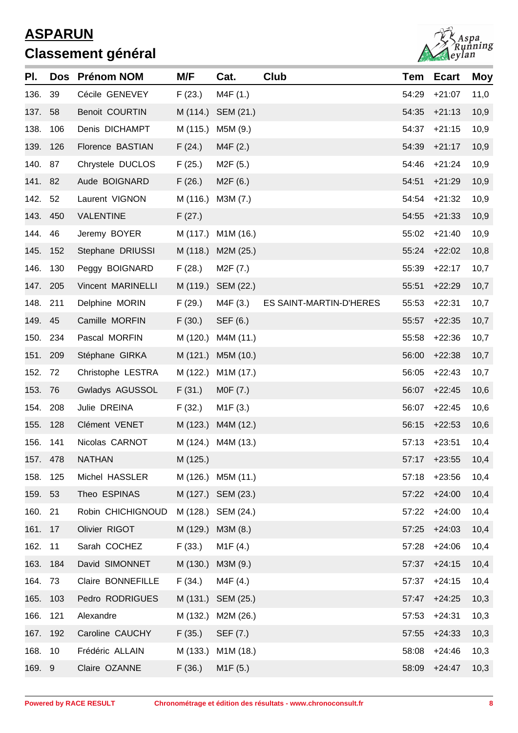

| PI.      |          | Dos Prénom NOM        | M/F      | Cat.                  | Club                    | Tem   | <b>Ecart</b> | <b>Moy</b> |
|----------|----------|-----------------------|----------|-----------------------|-------------------------|-------|--------------|------------|
| 136.     | 39       | Cécile GENEVEY        | F(23.)   | M4F (1.)              |                         | 54:29 | $+21:07$     | 11,0       |
| 137.     | 58       | <b>Benoit COURTIN</b> | M (114.) | SEM (21.)             |                         | 54:35 | $+21:13$     | 10,9       |
| 138.     | 106      | Denis DICHAMPT        | M (115.) | M5M (9.)              |                         | 54:37 | $+21:15$     | 10,9       |
| 139.     | 126      | Florence BASTIAN      | F(24.)   | M4F(2.)               |                         | 54:39 | $+21:17$     | 10,9       |
| 140. 87  |          | Chrystele DUCLOS      | F(25.)   | M2F (5.)              |                         | 54:46 | $+21:24$     | 10,9       |
| 141. 82  |          | Aude BOIGNARD         | F(26.)   | M2F(6.)               |                         | 54:51 | $+21:29$     | 10,9       |
| 142.     | 52       | Laurent VIGNON        | M (116.) | M3M (7.)              |                         | 54:54 | $+21:32$     | 10,9       |
| 143. 450 |          | <b>VALENTINE</b>      | F(27.)   |                       |                         | 54:55 | $+21:33$     | 10,9       |
| 144.     | 46       | Jeremy BOYER          |          | M (117.) M1M (16.)    |                         | 55:02 | $+21:40$     | 10,9       |
| 145.     | 152      | Stephane DRIUSSI      |          | M (118.) M2M (25.)    |                         | 55:24 | $+22:02$     | 10,8       |
| 146.     | 130      | Peggy BOIGNARD        | F(28.)   | M2F (7.)              |                         | 55:39 | $+22:17$     | 10,7       |
|          | 147. 205 | Vincent MARINELLI     |          | M (119.) SEM (22.)    |                         | 55:51 | $+22:29$     | 10,7       |
| 148. 211 |          | Delphine MORIN        | F(29.)   | M4F (3.)              | ES SAINT-MARTIN-D'HERES | 55:53 | $+22:31$     | 10,7       |
| 149. 45  |          | Camille MORFIN        | F(30.)   | SEF (6.)              |                         | 55:57 | $+22:35$     | 10,7       |
|          | 150. 234 | Pascal MORFIN         | M (120.) | M4M (11.)             |                         | 55:58 | $+22:36$     | 10,7       |
| 151. 209 |          | Stéphane GIRKA        | M (121.) | M5M (10.)             |                         | 56:00 | $+22:38$     | 10,7       |
| 152.     | 72       | Christophe LESTRA     | M (122.) | M1M (17.)             |                         | 56:05 | $+22:43$     | 10,7       |
| 153. 76  |          | Gwladys AGUSSOL       | F(31.)   | MOF(7.)               |                         | 56:07 | $+22:45$     | 10,6       |
| 154. 208 |          | Julie DREINA          | F(32.)   | M <sub>1</sub> F (3.) |                         | 56:07 | $+22:45$     | 10,6       |
| 155.     | 128      | Clément VENET         |          | M (123.) M4M (12.)    |                         | 56:15 | $+22:53$     | 10,6       |
| 156.     | 141      | Nicolas CARNOT        |          | M (124.) M4M (13.)    |                         | 57:13 | $+23:51$     | 10,4       |
|          | 157. 478 | <b>NATHAN</b>         | M (125.) |                       |                         |       | 57:17 +23:55 | 10,4       |
| 158.     | 125      | Michel HASSLER        |          | M (126.) M5M (11.)    |                         | 57:18 | $+23:56$     | 10,4       |
| 159. 53  |          | Theo ESPINAS          |          | M (127.) SEM (23.)    |                         | 57:22 | $+24:00$     | 10,4       |
| 160. 21  |          | Robin CHICHIGNOUD     |          | M (128.) SEM (24.)    |                         | 57:22 | $+24:00$     | 10,4       |
| 161. 17  |          | Olivier RIGOT         |          | M (129.) M3M (8.)     |                         | 57:25 | $+24:03$     | 10,4       |
| 162. 11  |          | Sarah COCHEZ          | F(33.)   | M1F(4.)               |                         | 57:28 | $+24:06$     | 10,4       |
|          | 163. 184 | David SIMONNET        |          | M (130.) M3M (9.)     |                         | 57:37 | $+24:15$     | 10,4       |
| 164. 73  |          | Claire BONNEFILLE     | F(34.)   | M4F (4.)              |                         | 57:37 | $+24:15$     | 10,4       |
|          | 165. 103 | Pedro RODRIGUES       |          | M (131.) SEM (25.)    |                         | 57:47 | $+24:25$     | 10,3       |
| 166.     | 121      | Alexandre             |          | M (132.) M2M (26.)    |                         | 57:53 | $+24:31$     | 10,3       |
| 167. 192 |          | Caroline CAUCHY       | F(35.)   | SEF (7.)              |                         | 57:55 | $+24:33$     | 10,3       |
| 168. 10  |          | Frédéric ALLAIN       |          | M (133.) M1M (18.)    |                         | 58:08 | $+24:46$     | 10,3       |
| 169. 9   |          | Claire OZANNE         | F(36.)   | M1F(5.)               |                         |       | 58:09 +24:47 | 10,3       |
|          |          |                       |          |                       |                         |       |              |            |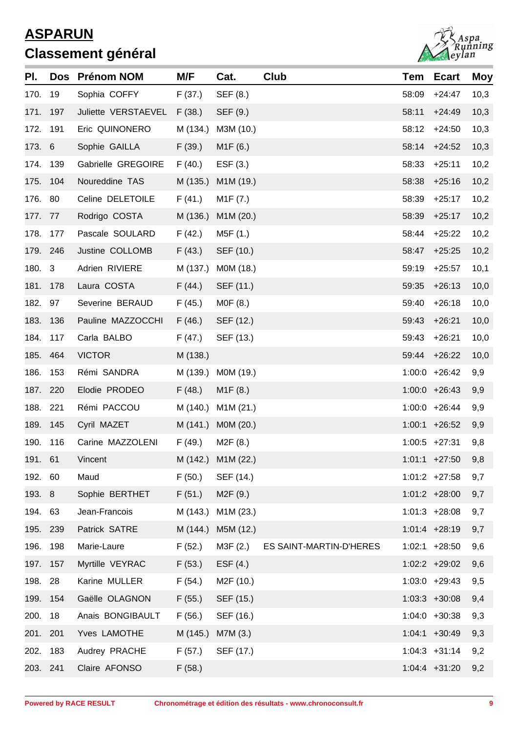

| PI.      | <b>Dos</b> | <b>Prénom NOM</b>           | M/F      | Cat.               | Club                    | Tem   | <b>Ecart</b>     | Moy  |
|----------|------------|-----------------------------|----------|--------------------|-------------------------|-------|------------------|------|
| 170.     | 19         | Sophia COFFY                | F(37.)   | SEF (8.)           |                         | 58:09 | $+24:47$         | 10,3 |
| 171. 197 |            | Juliette VERSTAEVEL F (38.) |          | SEF (9.)           |                         | 58:11 | $+24:49$         | 10,3 |
| 172. 191 |            | Eric QUINONERO              | M (134.) | M3M (10.)          |                         | 58:12 | $+24:50$         | 10,3 |
| 173. 6   |            | Sophie GAILLA               | F(39.)   | M1F(6.)            |                         | 58:14 | $+24:52$         | 10,3 |
| 174. 139 |            | Gabrielle GREGOIRE          | F(40.)   | ESF $(3.)$         |                         | 58:33 | $+25:11$         | 10,2 |
| 175. 104 |            | Noureddine TAS              | M (135.) | M1M (19.)          |                         | 58:38 | $+25:16$         | 10,2 |
| 176. 80  |            | Celine DELETOILE            | F(41.)   | M1F (7.)           |                         | 58:39 | $+25:17$         | 10,2 |
| 177. 77  |            | Rodrigo COSTA               | M (136.) | M1M (20.)          |                         | 58:39 | $+25:17$         | 10,2 |
| 178. 177 |            | Pascale SOULARD             | F(42.)   | M5F (1.)           |                         | 58:44 | $+25:22$         | 10,2 |
| 179. 246 |            | Justine COLLOMB             | F(43.)   | SEF (10.)          |                         | 58:47 | $+25:25$         | 10,2 |
| 180. 3   |            | Adrien RIVIERE              | M (137.) | M0M (18.)          |                         | 59:19 | $+25:57$         | 10,1 |
| 181. 178 |            | Laura COSTA                 | F(44.)   | SEF (11.)          |                         | 59:35 | $+26:13$         | 10,0 |
| 182. 97  |            | Severine BERAUD             | F (45.)  | M0F (8.)           |                         | 59:40 | $+26:18$         | 10,0 |
| 183. 136 |            | Pauline MAZZOCCHI           | F(46.)   | SEF (12.)          |                         | 59:43 | $+26:21$         | 10,0 |
| 184. 117 |            | Carla BALBO                 | F(47.)   | SEF (13.)          |                         | 59:43 | $+26:21$         | 10,0 |
| 185. 464 |            | <b>VICTOR</b>               | M (138.) |                    |                         | 59:44 | $+26:22$         | 10,0 |
| 186.     | 153        | Rémi SANDRA                 | M (139.) | MOM (19.)          |                         |       | $1:00:0$ +26:42  | 9,9  |
| 187. 220 |            | Elodie PRODEO               | F(48.)   | M1F(8.)            |                         |       | $1:00:0$ +26:43  | 9,9  |
| 188. 221 |            | Rémi PACCOU                 | M (140.) | M1M (21.)          |                         |       | $1:00:0$ +26:44  | 9,9  |
| 189. 145 |            | Cyril MAZET                 |          | M (141.) MOM (20.) |                         |       | $1:00:1$ +26:52  | 9,9  |
| 190. 116 |            | Carine MAZZOLENI            | F (49.)  | M2F(8.)            |                         |       | $1:00:5$ +27:31  | 9,8  |
| 191. 61  |            | Vincent                     |          | M (142.) M1M (22.) |                         |       | $1:01:1$ +27:50  | 9,8  |
| 192. 60  |            | Maud                        | F(50.)   | SEF (14.)          |                         |       | $1:01:2$ +27:58  | 9,7  |
| 193. 8   |            | Sophie BERTHET              | F(51.)   | M2F (9.)           |                         |       | $1:01:2$ +28:00  | 9,7  |
| 194. 63  |            | Jean-Francois               | M (143.) | M1M (23.)          |                         |       | $1:01:3$ +28:08  | 9,7  |
|          | 195. 239   | Patrick SATRE               | M (144.) | M5M (12.)          |                         |       | $1:01:4$ +28:19  | 9,7  |
| 196.     | 198        | Marie-Laure                 | F(52.)   | M3F (2.)           | ES SAINT-MARTIN-D'HERES |       | $1:02:1$ +28:50  | 9,6  |
| 197. 157 |            | Myrtille VEYRAC             | F(53.)   | EST(4.)            |                         |       | 1:02:2 +29:02    | 9,6  |
| 198. 28  |            | Karine MULLER               | F(54.)   | M2F (10.)          |                         |       | $1:03:0$ +29:43  | 9,5  |
| 199. 154 |            | Gaëlle OLAGNON              | F(55.)   | SEF (15.)          |                         |       | $1:03:3$ +30:08  | 9,4  |
| 200.     | 18         | Anais BONGIBAULT            | F(56.)   | SEF (16.)          |                         |       | $1:04:0 + 30:38$ | 9,3  |
| 201. 201 |            | Yves LAMOTHE                | M (145.) | M7M (3.)           |                         |       | $1:04:1$ +30:49  | 9,3  |
| 202.     | 183        | Audrey PRACHE               | F(57.)   | SEF (17.)          |                         |       | $1:04:3$ +31:14  | 9,2  |
| 203. 241 |            | Claire AFONSO               | F(58.)   |                    |                         |       | $1:04:4$ +31:20  | 9,2  |
|          |            |                             |          |                    |                         |       |                  |      |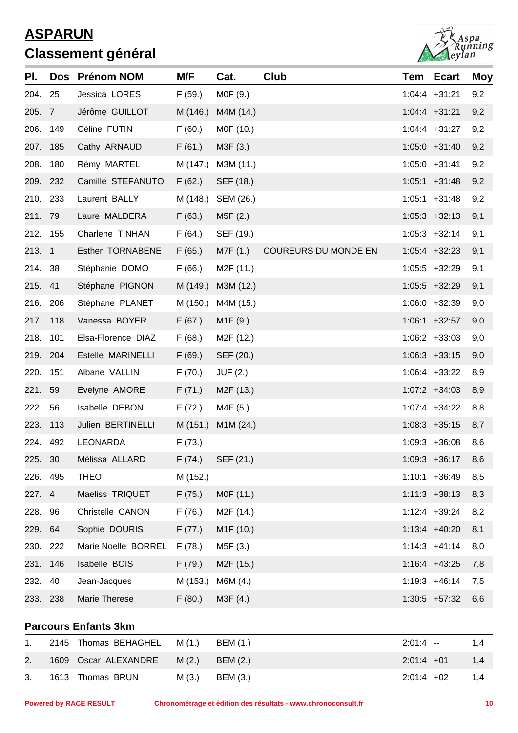

| PI.      | Dos      | <b>Prénom NOM</b>           | M/F      | Cat.                   | Club                 |              | <b>Tem Ecart</b> | Moy |
|----------|----------|-----------------------------|----------|------------------------|----------------------|--------------|------------------|-----|
| 204. 25  |          | Jessica LORES               | F(59.)   | MOF (9.)               |                      |              | $1:04:4$ +31:21  | 9,2 |
| 205. 7   |          | Jérôme GUILLOT              | M (146.) | M4M (14.)              |                      |              | $1:04:4$ +31:21  | 9,2 |
| 206.     | 149      | Céline FUTIN                | F(60.)   | M0F (10.)              |                      |              | $1:04:4$ +31:27  | 9,2 |
| 207. 185 |          | Cathy ARNAUD                | F(61.)   | M3F (3.)               |                      |              | $1:05:0$ +31:40  | 9,2 |
| 208.     | 180      | Rémy MARTEL                 | M (147.) | M3M (11.)              |                      |              | $1:05:0$ +31:41  | 9,2 |
| 209. 232 |          | Camille STEFANUTO           | F(62.)   | SEF (18.)              |                      |              | $1:05:1$ +31:48  | 9,2 |
| 210. 233 |          | Laurent BALLY               | M (148.) | SEM (26.)              |                      |              | $1:05:1$ +31:48  | 9,2 |
| 211. 79  |          | Laure MALDERA               | F(63.)   | M5F(2.)                |                      |              | $1:05:3$ +32:13  | 9,1 |
| 212. 155 |          | Charlene TINHAN             | F(64.)   | SEF (19.)              |                      |              | $1:05:3 +32:14$  | 9,1 |
| 213. 1   |          | Esther TORNABENE            | F(65.)   | M7F (1.)               | COUREURS DU MONDE EN |              | $1:05:4$ +32:23  | 9,1 |
| 214.     | 38       | Stéphanie DOMO              | F(66.)   | M <sub>2</sub> F (11.) |                      |              | $1:05:5$ +32:29  | 9,1 |
| 215. 41  |          | Stéphane PIGNON             | M (149.) | M3M (12.)              |                      |              | $1:05:5$ +32:29  | 9,1 |
| 216. 206 |          | Stéphane PLANET             | M (150.) | M4M (15.)              |                      |              | $1:06:0$ +32:39  | 9,0 |
| 217. 118 |          | Vanessa BOYER               | F(67.)   | M1F(9.)                |                      |              | $1:06:1$ +32:57  | 9,0 |
| 218.     | 101      | Elsa-Florence DIAZ          | F(68.)   | M <sub>2</sub> F (12.) |                      |              | $1:06:2 +33:03$  | 9,0 |
| 219. 204 |          | Estelle MARINELLI           | F(69.)   | SEF (20.)              |                      |              | $1:06:3$ +33:15  | 9,0 |
| 220.     | 151      | Albane VALLIN               | F(70.)   | <b>JUF (2.)</b>        |                      |              | $1:06:4$ +33:22  | 8,9 |
| 221.     | 59       | Evelyne AMORE               | F(71.)   | M <sub>2</sub> F (13.) |                      |              | $1:07:2 +34:03$  | 8,9 |
| 222.     | 56       | Isabelle DEBON              | F(72.)   | M4F (5.)               |                      |              | $1:07:4$ +34:22  | 8,8 |
| 223. 113 |          | Julien BERTINELLI           |          | M (151.) M1M (24.)     |                      |              | $1:08:3 +35:15$  | 8,7 |
| 224. 492 |          | LEONARDA                    | F(73.)   |                        |                      |              | $1:09:3 +36:08$  | 8,6 |
| 225. 30  |          | Mélissa ALLARD              |          | $F(74.)$ SEF $(21.)$   |                      |              | $1:09:3 +36:17$  | 8,6 |
| 226. 495 |          | <b>THEO</b>                 | M (152.) |                        |                      |              | $1:10:1$ +36:49  | 8,5 |
| 227. 4   |          | Maeliss TRIQUET             | F(75.)   | MOF (11.)              |                      |              | $1:11:3$ +38:13  | 8,3 |
| 228. 96  |          | Christelle CANON            | F(76.)   | M <sub>2</sub> F (14.) |                      |              | $1:12:4$ +39:24  | 8,2 |
| 229. 64  |          | Sophie DOURIS               | F(77.)   | M <sub>1</sub> F (10.) |                      |              | $1:13:4$ +40:20  | 8,1 |
| 230. 222 |          | Marie Noelle BORREL         | F(78.)   | M5F (3.)               |                      |              | $1:14:3$ +41:14  | 8,0 |
| 231. 146 |          | Isabelle BOIS               | F(79.)   | M <sub>2</sub> F (15.) |                      |              | $1:16:4$ +43:25  | 7,8 |
| 232.     | 40       | Jean-Jacques                | M (153.) | M6M (4.)               |                      |              | $1:19:3 +46:14$  | 7,5 |
|          | 233. 238 | Marie Therese               | F(80.)   | M3F (4.)               |                      |              | $1:30:5$ +57:32  | 6,6 |
|          |          | <b>Parcours Enfants 3km</b> |          |                        |                      |              |                  |     |
| 1.       | 2145     | Thomas BEHAGHEL             | M(1.)    | BEM (1.)               |                      | $2:01:4 -$   |                  | 1,4 |
| 2.       |          | 1609 Oscar ALEXANDRE        | M(2.)    | <b>BEM (2.)</b>        |                      | $2:01:4$ +01 |                  | 1,4 |
| 3.       |          | 1613 Thomas BRUN            | M(3.)    | BEM (3.)               |                      | $2:01:4$ +02 |                  | 1,4 |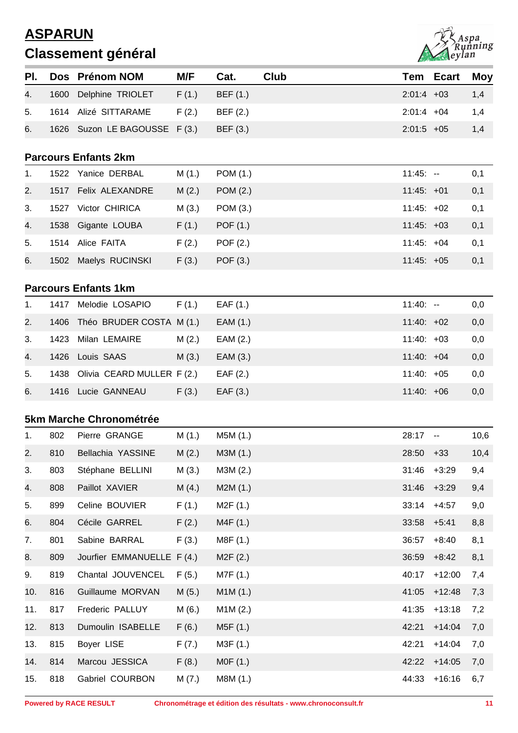

| PI. |      | Dos Prénom NOM                 | M/F    | Cat.       | <b>Club</b> | Tem          | <b>Ecart</b>                                  | <b>Moy</b> |
|-----|------|--------------------------------|--------|------------|-------------|--------------|-----------------------------------------------|------------|
| 4.  | 1600 | Delphine TRIOLET               | F(1.)  | BEF (1.)   |             | $2:01:4$ +03 |                                               | 1,4        |
| 5.  |      | 1614 Alizé SITTARAME           | F(2.)  | BEF (2.)   |             | $2:01:4$ +04 |                                               | 1,4        |
| 6.  |      | 1626 Suzon LE BAGOUSSE F (3.)  |        | BEF (3.)   |             | $2:01:5$ +05 |                                               | 1,4        |
|     |      | <b>Parcours Enfants 2km</b>    |        |            |             |              |                                               |            |
| 1.  |      | 1522 Yanice DERBAL             | M(1.)  | POM (1.)   |             | $11:45: -$   |                                               | 0,1        |
| 2.  |      | 1517 Felix ALEXANDRE           | M(2.)  | POM (2.)   |             | $11:45: +01$ |                                               | 0,1        |
| 3.  | 1527 | Victor CHIRICA                 | M(3.)  | POM (3.)   |             | $11:45: +02$ |                                               | 0,1        |
|     |      |                                |        |            |             | $11:45: +03$ |                                               |            |
| 4.  | 1538 | Gigante LOUBA                  | F(1.)  | POF (1.)   |             |              |                                               | 0,1        |
| 5.  |      | 1514 Alice FAITA               | F(2.)  | POF $(2.)$ |             | $11:45: +04$ |                                               | 0,1        |
| 6.  |      | 1502 Maelys RUCINSKI           | F(3.)  | POF (3.)   |             | $11:45: +05$ |                                               | 0,1        |
|     |      | <b>Parcours Enfants 1km</b>    |        |            |             |              |                                               |            |
| 1.  | 1417 | Melodie LOSAPIO                | F(1.)  | EAF(1.)    |             | $11:40: -$   |                                               | 0,0        |
| 2.  | 1406 | Théo BRUDER COSTA M (1.)       |        | EAM (1.)   |             | $11:40: +02$ |                                               | 0,0        |
| 3.  | 1423 | Milan LEMAIRE                  | M(2.)  | EAM (2.)   |             | $11:40: +03$ |                                               | 0,0        |
| 4.  | 1426 | Louis SAAS                     | M(3.)  | EAM (3.)   |             | $11:40: +04$ |                                               | 0,0        |
| 5.  | 1438 | Olivia CEARD MULLER F (2.)     |        | EAF(2.)    |             | $11:40: +05$ |                                               | 0,0        |
| 6.  | 1416 | Lucie GANNEAU                  | F(3.)  | EAF(3.)    |             | $11:40: +06$ |                                               | 0,0        |
|     |      | <b>5km Marche Chronométrée</b> |        |            |             |              |                                               |            |
| 1.  | 802  | Pierre GRANGE                  | M(1.)  | M5M (1.)   |             | 28:17        | $\mathord{\hspace{1pt}\text{--}\hspace{1pt}}$ | 10,6       |
| 2.  | 810  | Bellachia YASSINE              | M (2.) | M3M (1.)   |             | $28:50 + 33$ |                                               | 10,4       |
| 3.  | 803  | Stéphane BELLINI               | M(3.)  | M3M (2.)   |             | 31:46        | $+3:29$                                       | 9,4        |
| 4.  | 808  | Paillot XAVIER                 | M(4.)  | M2M(1.)    |             | 31:46        | $+3:29$                                       | 9,4        |
| 5.  | 899  | Celine BOUVIER                 | F(1.)  | M2F (1.)   |             | 33:14        | $+4:57$                                       | 9,0        |
| 6.  | 804  | Cécile GARREL                  | F(2.)  | M4F (1.)   |             | 33:58        | $+5:41$                                       | 8,8        |
| 7.  | 801  | Sabine BARRAL                  | F(3.)  | M8F (1.)   |             | 36:57        | $+8:40$                                       | 8,1        |
| 8.  | 809  | Jourfier EMMANUELLE F (4.)     |        | M2F (2.)   |             | 36:59        | $+8:42$                                       | 8,1        |
| 9.  | 819  | Chantal JOUVENCEL              | F(5.)  | M7F (1.)   |             | 40:17        | $+12:00$                                      | 7,4        |
| 10. | 816  | Guillaume MORVAN               | M(5.)  | M1M(1.)    |             | 41:05        | $+12:48$                                      | 7,3        |
| 11. | 817  | Frederic PALLUY                | M(6.)  | M1M(2.)    |             | 41:35        | $+13:18$                                      | 7,2        |
| 12. | 813  | Dumoulin ISABELLE              | F(6.)  | M5F (1.)   |             | 42:21        | $+14:04$                                      | 7,0        |
| 13. | 815  | Boyer LISE                     | F(7.)  | M3F (1.)   |             | 42:21        | $+14:04$                                      | 7,0        |
| 14. | 814  | Marcou JESSICA                 | F(8.)  | MOF(1.)    |             | 42:22        | $+14:05$                                      | 7,0        |
| 15. | 818  | Gabriel COURBON                | M(7.)  | M8M (1.)   |             | 44:33        | $+16:16$                                      | 6,7        |